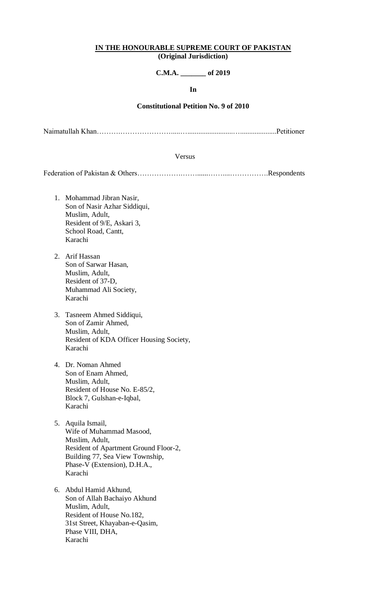#### **IN THE HONOURABLE SUPREME COURT OF PAKISTAN (Original Jurisdiction)**

# **C.M.A. \_\_\_\_\_\_\_ of 2019**

#### **In**

## **Constitutional Petition No. 9 of 2010**

Naimatullah Khan……….………………….....….........................…....................Petitioner

#### Versus

Federation of Pakistan & Others……………….……......……....…………….Respondents

- 1. Mohammad Jibran Nasir, Son of Nasir Azhar Siddiqui, Muslim, Adult, Resident of 9/E, Askari 3, School Road, Cantt, Karachi
- 2. Arif Hassan Son of Sarwar Hasan, Muslim, Adult, Resident of 37-D, Muhammad Ali Society, Karachi
- 3. Tasneem Ahmed Siddiqui, Son of Zamir Ahmed, Muslim, Adult, Resident of KDA Officer Housing Society, Karachi
- 4. Dr. Noman Ahmed Son of Enam Ahmed, Muslim, Adult, Resident of House No. E-85/2, Block 7, Gulshan-e-Iqbal, Karachi
- 5. Aquila Ismail, Wife of Muhammad Masood, Muslim, Adult, Resident of Apartment Ground Floor-2, Building 77, Sea View Township, Phase-V (Extension), D.H.A., Karachi
- 6. Abdul Hamid Akhund, Son of Allah Bachaiyo Akhund Muslim, Adult, Resident of House No.182, 31st Street, Khayaban-e-Qasim, Phase VIII, DHA, Karachi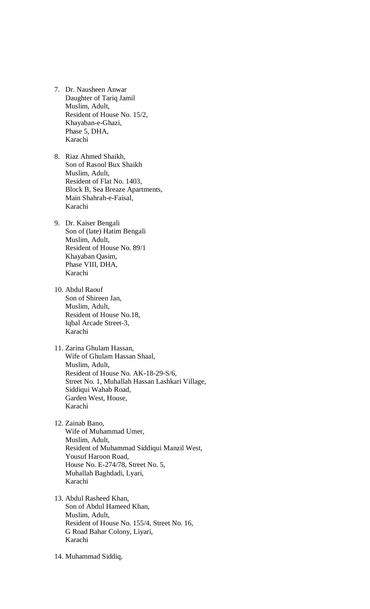- 7. Dr. Nausheen Anwar Daughter of Tariq Jamil Muslim, Adult, Resident of House No. 15/2, Khayaban-e-Ghazi, Phase 5, DHA, Karachi
- 8. Riaz Ahmed Shaikh, Son of Rasool Bux Shaikh Muslim, Adult, Resident of Flat No. 1403, Block B, Sea Breaze Apartments, Main Shahrah-e-Faisal, Karachi
- 9. Dr. Kaiser Bengali Son of (late) Hatim Bengali Muslim, Adult, Resident of House No. 89/1 Khayaban Qasim, Phase VIII, DHA, Karachi
- 10. Abdul Raouf Son of Shireen Jan, Muslim, Adult, Resident of House No.18, Iqbal Arcade Street-3, Karachi
- 11. Zarina Ghulam Hassan, Wife of Ghulam Hassan Shaal, Muslim, Adult, Resident of House No. AK-18-29-S/6, Street No. 1, Muhallah Hassan Lashkari Village, Siddiqui Wahab Road, Garden West, House, Karachi
- 12. Zainab Bano, Wife of Muhammad Umer, Muslim, Adult, Resident of Muhammad Siddiqui Manzil West, Yousuf Haroon Road, House No. E-274/78, Street No. 5, Muhallah Baghdadi, Lyari, Karachi
- 13. Abdul Rasheed Khan, Son of Abdul Hameed Khan, Muslim, Adult, Resident of House No. 155/4, Street No. 16, G Road Bahar Colony, Liyari, Karachi
- 14. Muhammad Siddiq,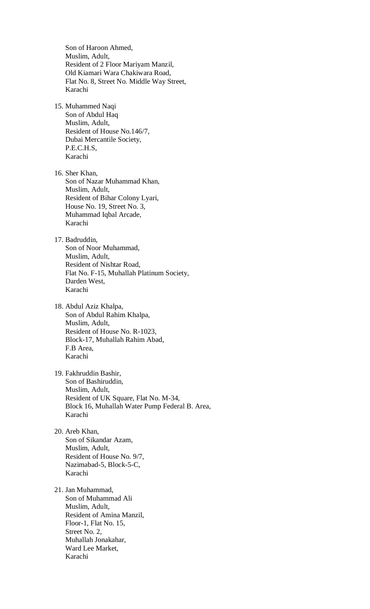Son of Haroon Ahmed, Muslim, Adult, Resident of 2 Floor Mariyam Manzil, Old Kiamari Wara Chakiwara Road, Flat No. 8, Street No. Middle Way Street, Karachi 15. Muhammed Naqi Son of Abdul Haq Muslim, Adult, Resident of House No.146/7, Dubai Mercantile Society, P.E.C.H.S, Karachi 16. Sher Khan, Son of Nazar Muhammad Khan, Muslim, Adult, Resident of Bihar Colony Lyari, House No. 19, Street No. 3, Muhammad Iqbal Arcade, Karachi 17. Badruddin, Son of Noor Muhammad, Muslim, Adult, Resident of Nishtar Road, Flat No. F-15, Muhallah Platinum Society, Darden West, Karachi 18. Abdul Aziz Khalpa, Son of Abdul Rahim Khalpa, Muslim, Adult, Resident of House No. R-1023, Block-17, Muhallah Rahim Abad, F.B Area, Karachi 19. Fakhruddin Bashir, Son of Bashiruddin, Muslim, Adult, Resident of UK Square, Flat No. M-34, Block 16, Muhallah Water Pump Federal B. Area, Karachi 20. Areb Khan, Son of Sikandar Azam, Muslim, Adult, Resident of House No. 9/7, Nazimabad-5, Block-5-C, Karachi 21. Jan Muhammad, Son of Muhammad Ali Muslim, Adult, Resident of Amina Manzil, Floor-1, Flat No. 15, Street No. 2, Muhallah Jonakahar, Ward Lee Market, Karachi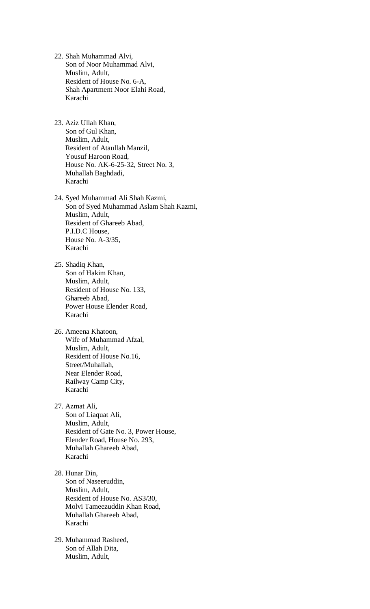- 22. Shah Muhammad Alvi, Son of Noor Muhammad Alvi, Muslim, Adult, Resident of House No. 6-A, Shah Apartment Noor Elahi Road, Karachi
- 23. Aziz Ullah Khan, Son of Gul Khan, Muslim, Adult, Resident of Ataullah Manzil, Yousuf Haroon Road, House No. AK-6-25-32, Street No. 3, Muhallah Baghdadi, Karachi
- 24. Syed Muhammad Ali Shah Kazmi, Son of Syed Muhammad Aslam Shah Kazmi, Muslim, Adult, Resident of Ghareeb Abad, P.I.D.C House, House No. A-3/35, Karachi
- 25. Shadiq Khan, Son of Hakim Khan, Muslim, Adult, Resident of House No. 133, Ghareeb Abad, Power House Elender Road, Karachi
- 26. Ameena Khatoon, Wife of Muhammad Afzal, Muslim, Adult, Resident of House No.16, Street/Muhallah, Near Elender Road, Railway Camp City, Karachi
- 27. Azmat Ali, Son of Liaquat Ali, Muslim, Adult, Resident of Gate No. 3, Power House, Elender Road, House No. 293, Muhallah Ghareeb Abad, Karachi
- 28. Hunar Din, Son of Naseeruddin, Muslim, Adult, Resident of House No. AS3/30, Molvi Tameezuddin Khan Road, Muhallah Ghareeb Abad, Karachi
- 29. Muhammad Rasheed, Son of Allah Dita, Muslim, Adult,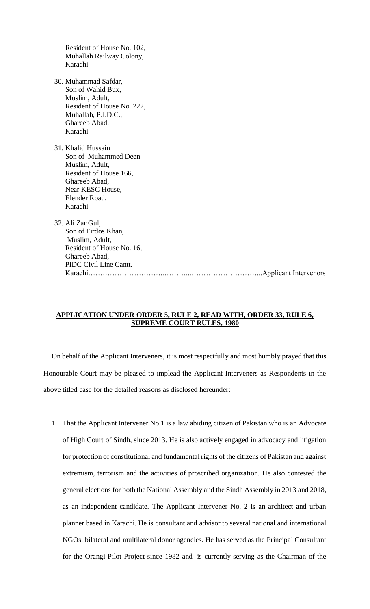| Resident of House No. 102,<br>Muhallah Railway Colony,<br>Karachi                                                                                            |
|--------------------------------------------------------------------------------------------------------------------------------------------------------------|
| 30. Muhammad Safdar,<br>Son of Wahid Bux,<br>Muslim, Adult,<br>Resident of House No. 222,<br>Muhallah, P.I.D.C.,<br>Ghareeb Abad,<br>Karachi                 |
| 31. Khalid Hussain<br>Son of Muhammed Deen<br>Muslim, Adult,<br>Resident of House 166,<br>Ghareeb Abad,<br>Near KESC House,<br>Elender Road,<br>Karachi      |
| 32. Ali Zar Gul,<br>Son of Firdos Khan,<br>Muslim, Adult,<br>Resident of House No. 16,<br>Ghareeb Abad,<br>PIDC Civil Line Cantt.<br>. Applicant Intervenors |

## **APPLICATION UNDER ORDER 5, RULE 2, READ WITH, ORDER 33, RULE 6, SUPREME COURT RULES, 1980**

On behalf of the Applicant Interveners, it is most respectfully and most humbly prayed that this Honourable Court may be pleased to implead the Applicant Interveners as Respondents in the above titled case for the detailed reasons as disclosed hereunder:

1. That the Applicant Intervener No.1 is a law abiding citizen of Pakistan who is an Advocate of High Court of Sindh, since 2013. He is also actively engaged in advocacy and litigation for protection of constitutional and fundamental rights of the citizens of Pakistan and against extremism, terrorism and the activities of proscribed organization. He also contested the general elections for both the National Assembly and the Sindh Assembly in 2013 and 2018, as an independent candidate. The Applicant Intervener No. 2 is an architect and urban planner based in Karachi. He is consultant and advisor to several national and international NGOs, bilateral and multilateral donor agencies. He has served as the Principal Consultant for the Orangi Pilot Project since 1982 and is currently serving as the Chairman of the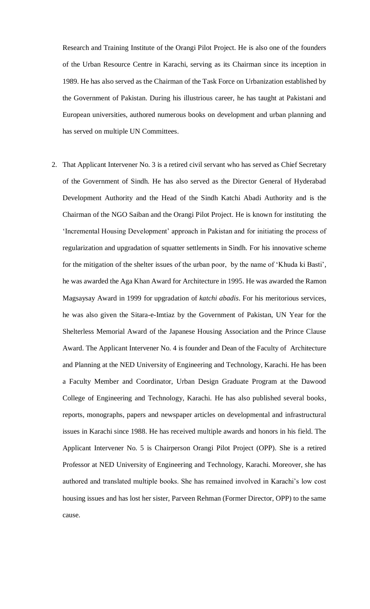Research and Training Institute of the Orangi Pilot Project. He is also one of the founders of the Urban Resource Centre in Karachi, serving as its Chairman since its inception in 1989. He has also served as the Chairman of the Task Force on Urbanization established by the Government of Pakistan. During his illustrious career, he has taught at Pakistani and European universities, authored numerous books on development and urban planning and has served on multiple UN Committees.

2. That Applicant Intervener No. 3 is a retired civil servant who has served as Chief Secretary of the Government of Sindh. He has also served as the Director General of Hyderabad Development Authority and the Head of the Sindh Katchi Abadi Authority and is the Chairman of the NGO Saiban and the Orangi Pilot Project. He is known for instituting the 'Incremental Housing Development' approach in Pakistan and for initiating the process of regularization and upgradation of squatter settlements in Sindh. For his innovative scheme for the mitigation of the shelter issues of the urban poor, by the name of 'Khuda ki Basti', he was awarded the Aga Khan Award for Architecture in 1995. He was awarded the Ramon Magsaysay Award in 1999 for upgradation of *katchi abadis*. For his meritorious services, he was also given the Sitara-e-Imtiaz by the Government of Pakistan, UN Year for the Shelterless Memorial Award of the Japanese Housing Association and the Prince Clause Award. The Applicant Intervener No. 4 is founder and Dean of the Faculty of Architecture and Planning at the NED University of Engineering and Technology, Karachi. He has been a Faculty Member and Coordinator, Urban Design Graduate Program at the Dawood College of Engineering and Technology, Karachi. He has also published several books, reports, monographs, papers and newspaper articles on developmental and infrastructural issues in Karachi since 1988. He has received multiple awards and honors in his field. The Applicant Intervener No. 5 is Chairperson Orangi Pilot Project (OPP). She is a retired Professor at NED University of Engineering and Technology, Karachi. Moreover, she has authored and translated multiple books. She has remained involved in Karachi's low cost housing issues and has lost her sister, Parveen Rehman (Former Director, OPP) to the same cause.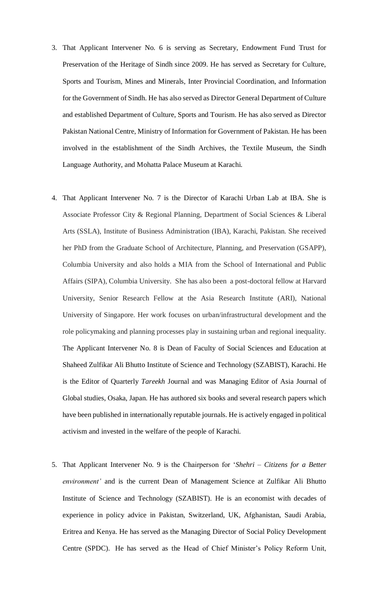- 3. That Applicant Intervener No. 6 is serving as Secretary, Endowment Fund Trust for Preservation of the Heritage of Sindh since 2009. He has served as Secretary for Culture, Sports and Tourism, Mines and Minerals, Inter Provincial Coordination, and Information for the Government of Sindh. He has also served as Director General Department of Culture and established Department of Culture, Sports and Tourism. He has also served as Director Pakistan National Centre, Ministry of Information for Government of Pakistan. He has been involved in the establishment of the Sindh Archives, the Textile Museum, the Sindh Language Authority, and Mohatta Palace Museum at Karachi.
- 4. That Applicant Intervener No. 7 is the Director of Karachi Urban Lab at IBA. She is Associate Professor City & Regional Planning, Department of Social Sciences & Liberal Arts (SSLA), Institute of Business Administration (IBA), Karachi, Pakistan. She received her PhD from the Graduate School of Architecture, Planning, and Preservation (GSAPP), Columbia University and also holds a MIA from the School of International and Public Affairs (SIPA), Columbia University. She has also been a post-doctoral fellow at Harvard University, Senior Research Fellow at the Asia Research Institute (ARI), National University of Singapore. Her work focuses on urban/infrastructural development and the role policymaking and planning processes play in sustaining urban and regional inequality. The Applicant Intervener No. 8 is Dean of Faculty of Social Sciences and Education at Shaheed Zulfikar Ali Bhutto Institute of Science and Technology (SZABIST), Karachi. He is the Editor of Quarterly *Tareekh* Journal and was Managing Editor of Asia Journal of Global studies, Osaka, Japan. He has authored six books and several research papers which have been published in internationally reputable journals. He is actively engaged in political activism and invested in the welfare of the people of Karachi.
- 5. That Applicant Intervener No. 9 is the Chairperson for '*Shehri – Citizens for a Better environment'* and is the current Dean of Management Science at Zulfikar Ali Bhutto Institute of Science and Technology (SZABIST). He is an economist with decades of experience in policy advice in Pakistan, Switzerland, UK, Afghanistan, Saudi Arabia, Eritrea and Kenya. He has served as the Managing Director of Social Policy Development Centre (SPDC). He has served as the Head of Chief Minister's Policy Reform Unit,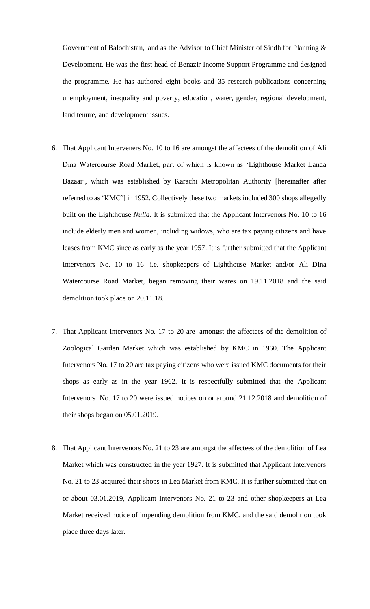Government of Balochistan, and as the Advisor to Chief Minister of Sindh for Planning & Development. He was the first head of Benazir Income Support Programme and designed the programme. He has authored eight books and 35 research publications concerning unemployment, inequality and poverty, education, water, gender, regional development, land tenure, and development issues.

- 6. That Applicant Interveners No. 10 to 16 are amongst the affectees of the demolition of Ali Dina Watercourse Road Market, part of which is known as 'Lighthouse Market Landa Bazaar', which was established by Karachi Metropolitan Authority [hereinafter after referred to as 'KMC'] in 1952. Collectively these two markets included 300 shops allegedly built on the Lighthouse *Nulla.* It is submitted that the Applicant Intervenors No. 10 to 16 include elderly men and women, including widows, who are tax paying citizens and have leases from KMC since as early as the year 1957. It is further submitted that the Applicant Intervenors No. 10 to 16 i.e. shopkeepers of Lighthouse Market and/or Ali Dina Watercourse Road Market, began removing their wares on 19.11.2018 and the said demolition took place on 20.11.18.
- 7. That Applicant Intervenors No. 17 to 20 are amongst the affectees of the demolition of Zoological Garden Market which was established by KMC in 1960. The Applicant Intervenors No. 17 to 20 are tax paying citizens who were issued KMC documents for their shops as early as in the year 1962. It is respectfully submitted that the Applicant Intervenors No. 17 to 20 were issued notices on or around 21.12.2018 and demolition of their shops began on 05.01.2019.
- 8. That Applicant Intervenors No. 21 to 23 are amongst the affectees of the demolition of Lea Market which was constructed in the year 1927. It is submitted that Applicant Intervenors No. 21 to 23 acquired their shops in Lea Market from KMC. It is further submitted that on or about 03.01.2019, Applicant Intervenors No. 21 to 23 and other shopkeepers at Lea Market received notice of impending demolition from KMC, and the said demolition took place three days later.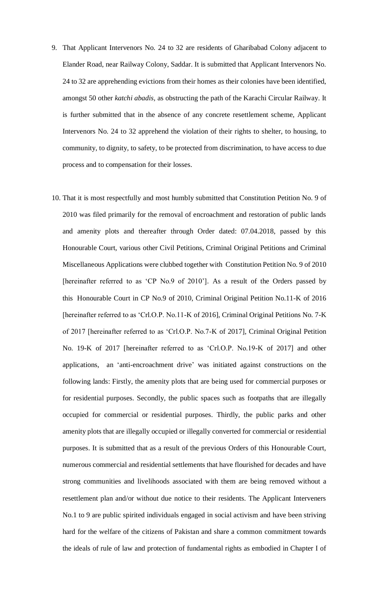- 9. That Applicant Intervenors No. 24 to 32 are residents of Gharibabad Colony adjacent to Elander Road, near Railway Colony, Saddar. It is submitted that Applicant Intervenors No. 24 to 32 are apprehending evictions from their homes as their colonies have been identified, amongst 50 other *katchi abadis,* as obstructing the path of the Karachi Circular Railway. It is further submitted that in the absence of any concrete resettlement scheme, Applicant Intervenors No. 24 to 32 apprehend the violation of their rights to shelter, to housing, to community, to dignity, to safety, to be protected from discrimination, to have access to due process and to compensation for their losses.
- 10. That it is most respectfully and most humbly submitted that Constitution Petition No. 9 of 2010 was filed primarily for the removal of encroachment and restoration of public lands and amenity plots and thereafter through Order dated: 07.04.2018, passed by this Honourable Court, various other Civil Petitions, Criminal Original Petitions and Criminal Miscellaneous Applications were clubbed together with Constitution Petition No. 9 of 2010 [hereinafter referred to as 'CP No.9 of 2010']. As a result of the Orders passed by this Honourable Court in CP No.9 of 2010, Criminal Original Petition No.11-K of 2016 [hereinafter referred to as 'Crl.O.P. No.11-K of 2016], Criminal Original Petitions No. 7-K of 2017 [hereinafter referred to as 'Crl.O.P. No.7-K of 2017], Criminal Original Petition No. 19-K of 2017 [hereinafter referred to as 'Crl.O.P. No.19-K of 2017] and other applications, an 'anti-encroachment drive' was initiated against constructions on the following lands: Firstly, the amenity plots that are being used for commercial purposes or for residential purposes. Secondly, the public spaces such as footpaths that are illegally occupied for commercial or residential purposes. Thirdly, the public parks and other amenity plots that are illegally occupied or illegally converted for commercial or residential purposes. It is submitted that as a result of the previous Orders of this Honourable Court, numerous commercial and residential settlements that have flourished for decades and have strong communities and livelihoods associated with them are being removed without a resettlement plan and/or without due notice to their residents. The Applicant Interveners No.1 to 9 are public spirited individuals engaged in social activism and have been striving hard for the welfare of the citizens of Pakistan and share a common commitment towards the ideals of rule of law and protection of fundamental rights as embodied in Chapter I of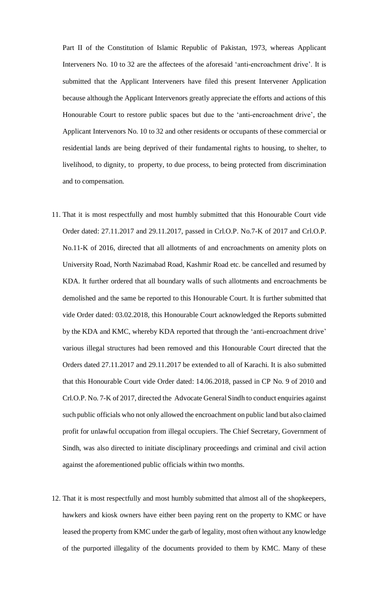Part II of the Constitution of Islamic Republic of Pakistan, 1973, whereas Applicant Interveners No. 10 to 32 are the affectees of the aforesaid 'anti-encroachment drive'. It is submitted that the Applicant Interveners have filed this present Intervener Application because although the Applicant Intervenors greatly appreciate the efforts and actions of this Honourable Court to restore public spaces but due to the 'anti-encroachment drive', the Applicant Intervenors No. 10 to 32 and other residents or occupants of these commercial or residential lands are being deprived of their fundamental rights to housing, to shelter, to livelihood, to dignity, to property, to due process, to being protected from discrimination and to compensation.

- 11. That it is most respectfully and most humbly submitted that this Honourable Court vide Order dated: 27.11.2017 and 29.11.2017, passed in Crl.O.P. No.7-K of 2017 and Crl.O.P. No.11-K of 2016, directed that all allotments of and encroachments on amenity plots on University Road, North Nazimabad Road, Kashmir Road etc. be cancelled and resumed by KDA. It further ordered that all boundary walls of such allotments and encroachments be demolished and the same be reported to this Honourable Court. It is further submitted that vide Order dated: 03.02.2018, this Honourable Court acknowledged the Reports submitted by the KDA and KMC, whereby KDA reported that through the 'anti-encroachment drive' various illegal structures had been removed and this Honourable Court directed that the Orders dated 27.11.2017 and 29.11.2017 be extended to all of Karachi. It is also submitted that this Honourable Court vide Order dated: 14.06.2018, passed in CP No. 9 of 2010 and Crl.O.P. No. 7-K of 2017, directed the Advocate General Sindh to conduct enquiries against such public officials who not only allowed the encroachment on public land but also claimed profit for unlawful occupation from illegal occupiers. The Chief Secretary, Government of Sindh, was also directed to initiate disciplinary proceedings and criminal and civil action against the aforementioned public officials within two months.
- 12. That it is most respectfully and most humbly submitted that almost all of the shopkeepers, hawkers and kiosk owners have either been paying rent on the property to KMC or have leased the property from KMC under the garb of legality, most often without any knowledge of the purported illegality of the documents provided to them by KMC. Many of these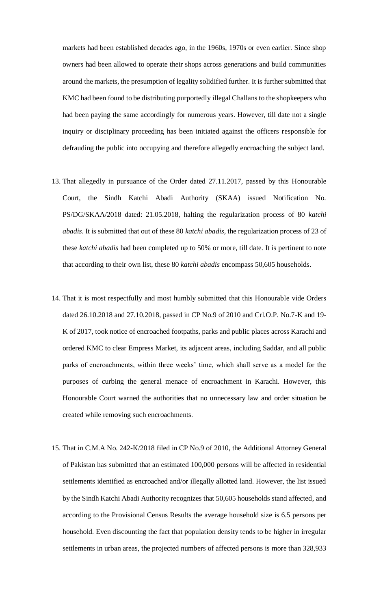markets had been established decades ago, in the 1960s, 1970s or even earlier. Since shop owners had been allowed to operate their shops across generations and build communities around the markets, the presumption of legality solidified further. It is further submitted that KMC had been found to be distributing purportedly illegal Challans to the shopkeepers who had been paying the same accordingly for numerous years. However, till date not a single inquiry or disciplinary proceeding has been initiated against the officers responsible for defrauding the public into occupying and therefore allegedly encroaching the subject land.

- 13. That allegedly in pursuance of the Order dated 27.11.2017, passed by this Honourable Court, the Sindh Katchi Abadi Authority (SKAA) issued Notification No. PS/DG/SKAA/2018 dated: 21.05.2018, halting the regularization process of 80 *katchi abadis*. It is submitted that out of these 80 *katchi abadis,* the regularization process of 23 of these *katchi abadis* had been completed up to 50% or more, till date. It is pertinent to note that according to their own list, these 80 *katchi abadis* encompass 50,605 households.
- 14. That it is most respectfully and most humbly submitted that this Honourable vide Orders dated 26.10.2018 and 27.10.2018, passed in CP No.9 of 2010 and Crl.O.P. No.7-K and 19- K of 2017, took notice of encroached footpaths, parks and public places across Karachi and ordered KMC to clear Empress Market, its adjacent areas, including Saddar, and all public parks of encroachments, within three weeks' time, which shall serve as a model for the purposes of curbing the general menace of encroachment in Karachi. However, this Honourable Court warned the authorities that no unnecessary law and order situation be created while removing such encroachments.
- 15. That in C.M.A No. 242-K/2018 filed in CP No.9 of 2010, the Additional Attorney General of Pakistan has submitted that an estimated 100,000 persons will be affected in residential settlements identified as encroached and/or illegally allotted land. However, the list issued by the Sindh Katchi Abadi Authority recognizes that 50,605 households stand affected, and according to the Provisional Census Results the average household size is 6.5 persons per household. Even discounting the fact that population density tends to be higher in irregular settlements in urban areas, the projected numbers of affected persons is more than 328,933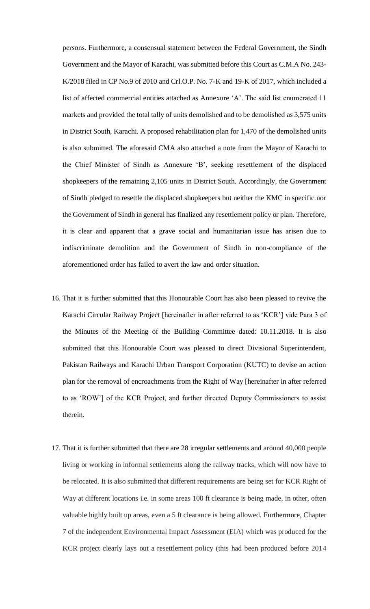persons. Furthermore, a consensual statement between the Federal Government, the Sindh Government and the Mayor of Karachi, was submitted before this Court as C.M.A No. 243- K/2018 filed in CP No.9 of 2010 and Crl.O.P. No. 7-K and 19-K of 2017, which included a list of affected commercial entities attached as Annexure 'A'. The said list enumerated 11 markets and provided the total tally of units demolished and to be demolished as 3,575 units in District South, Karachi. A proposed rehabilitation plan for 1,470 of the demolished units is also submitted. The aforesaid CMA also attached a note from the Mayor of Karachi to the Chief Minister of Sindh as Annexure 'B', seeking resettlement of the displaced shopkeepers of the remaining 2,105 units in District South. Accordingly, the Government of Sindh pledged to resettle the displaced shopkeepers but neither the KMC in specific nor the Government of Sindh in general has finalized any resettlement policy or plan. Therefore, it is clear and apparent that a grave social and humanitarian issue has arisen due to indiscriminate demolition and the Government of Sindh in non-compliance of the aforementioned order has failed to avert the law and order situation.

- 16. That it is further submitted that this Honourable Court has also been pleased to revive the Karachi Circular Railway Project [hereinafter in after referred to as 'KCR'] vide Para 3 of the Minutes of the Meeting of the Building Committee dated: 10.11.2018. It is also submitted that this Honourable Court was pleased to direct Divisional Superintendent, Pakistan Railways and Karachi Urban Transport Corporation (KUTC) to devise an action plan for the removal of encroachments from the Right of Way [hereinafter in after referred to as 'ROW'] of the KCR Project, and further directed Deputy Commissioners to assist therein.
- 17. That it is further submitted that there are 28 irregular settlements and around 40,000 people living or working in informal settlements along the railway tracks, which will now have to be relocated. It is also submitted that different requirements are being set for KCR Right of Way at different locations i.e. in some areas 100 ft clearance is being made, in other, often valuable highly built up areas, even a 5 ft clearance is being allowed. Furthermore, Chapter 7 of the independent Environmental Impact Assessment (EIA) which was produced for the KCR project clearly lays out a resettlement policy (this had been produced before 2014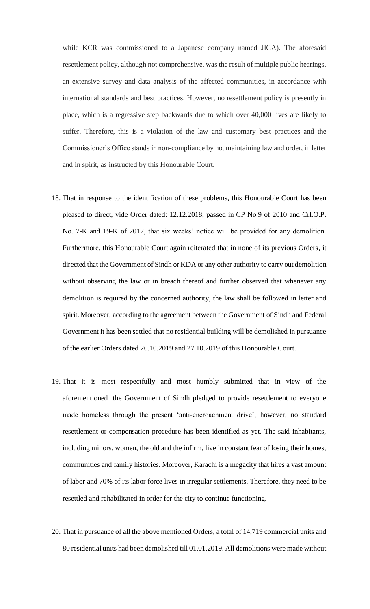while KCR was commissioned to a Japanese company named JICA). The aforesaid resettlement policy, although not comprehensive, was the result of multiple public hearings, an extensive survey and data analysis of the affected communities, in accordance with international standards and best practices. However, no resettlement policy is presently in place, which is a regressive step backwards due to which over 40,000 lives are likely to suffer. Therefore, this is a violation of the law and customary best practices and the Commissioner's Office stands in non-compliance by not maintaining law and order, in letter and in spirit, as instructed by this Honourable Court.

- 18. That in response to the identification of these problems, this Honourable Court has been pleased to direct, vide Order dated: 12.12.2018, passed in CP No.9 of 2010 and Crl.O.P. No. 7-K and 19-K of 2017, that six weeks' notice will be provided for any demolition. Furthermore, this Honourable Court again reiterated that in none of its previous Orders, it directed that the Government of Sindh or KDA or any other authority to carry out demolition without observing the law or in breach thereof and further observed that whenever any demolition is required by the concerned authority, the law shall be followed in letter and spirit. Moreover, according to the agreement between the Government of Sindh and Federal Government it has been settled that no residential building will be demolished in pursuance of the earlier Orders dated 26.10.2019 and 27.10.2019 of this Honourable Court.
- 19. That it is most respectfully and most humbly submitted that in view of the aforementioned the Government of Sindh pledged to provide resettlement to everyone made homeless through the present 'anti-encroachment drive', however, no standard resettlement or compensation procedure has been identified as yet. The said inhabitants, including minors, women, the old and the infirm, live in constant fear of losing their homes, communities and family histories. Moreover, Karachi is a megacity that hires a vast amount of labor and 70% of its labor force lives in irregular settlements. Therefore, they need to be resettled and rehabilitated in order for the city to continue functioning.
- 20. That in pursuance of all the above mentioned Orders, a total of 14,719 commercial units and 80 residential units had been demolished till 01.01.2019. All demolitions were made without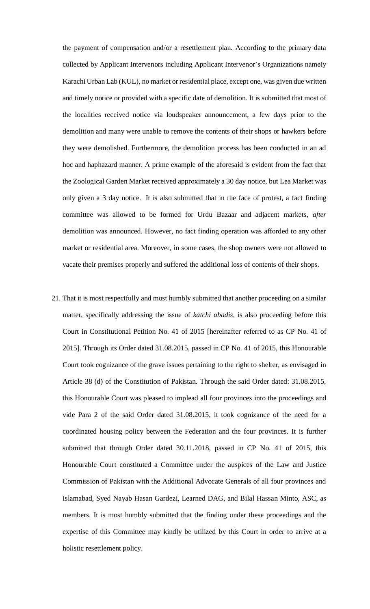the payment of compensation and/or a resettlement plan. According to the primary data collected by Applicant Intervenors including Applicant Intervenor's Organizations namely Karachi Urban Lab (KUL), no market or residential place, except one, was given due written and timely notice or provided with a specific date of demolition. It is submitted that most of the localities received notice via loudspeaker announcement, a few days prior to the demolition and many were unable to remove the contents of their shops or hawkers before they were demolished. Furthermore, the demolition process has been conducted in an ad hoc and haphazard manner. A prime example of the aforesaid is evident from the fact that the Zoological Garden Market received approximately a 30 day notice, but Lea Market was only given a 3 day notice. It is also submitted that in the face of protest, a fact finding committee was allowed to be formed for Urdu Bazaar and adjacent markets, *after*  demolition was announced. However, no fact finding operation was afforded to any other market or residential area. Moreover, in some cases, the shop owners were not allowed to vacate their premises properly and suffered the additional loss of contents of their shops.

21. That it is most respectfully and most humbly submitted that another proceeding on a similar matter, specifically addressing the issue of *katchi abadis*, is also proceeding before this Court in Constitutional Petition No. 41 of 2015 [hereinafter referred to as CP No. 41 of 2015]. Through its Order dated 31.08.2015, passed in CP No. 41 of 2015, this Honourable Court took cognizance of the grave issues pertaining to the right to shelter, as envisaged in Article 38 (d) of the Constitution of Pakistan. Through the said Order dated: 31.08.2015, this Honourable Court was pleased to implead all four provinces into the proceedings and vide Para 2 of the said Order dated 31.08.2015, it took cognizance of the need for a coordinated housing policy between the Federation and the four provinces. It is further submitted that through Order dated 30.11.2018, passed in CP No. 41 of 2015, this Honourable Court constituted a Committee under the auspices of the Law and Justice Commission of Pakistan with the Additional Advocate Generals of all four provinces and Islamabad, Syed Nayab Hasan Gardezi, Learned DAG, and Bilal Hassan Minto, ASC, as members. It is most humbly submitted that the finding under these proceedings and the expertise of this Committee may kindly be utilized by this Court in order to arrive at a holistic resettlement policy.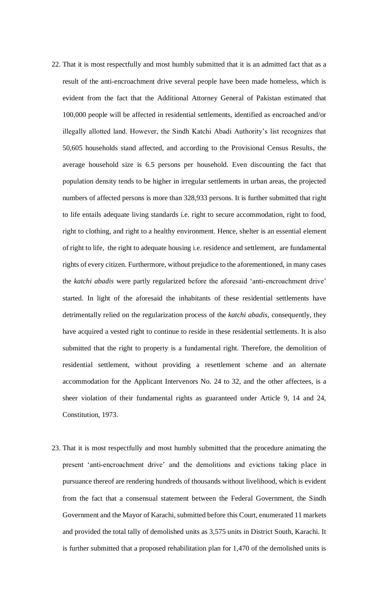- 22. That it is most respectfully and most humbly submitted that it is an admitted fact that as a result of the anti-encroachment drive several people have been made homeless, which is evident from the fact that the Additional Attorney General of Pakistan estimated that 100,000 people will be affected in residential settlements, identified as encroached and/or illegally allotted land. However, the Sindh Katchi Abadi Authority's list recognizes that 50,605 households stand affected, and according to the Provisional Census Results, the average household size is 6.5 persons per household. Even discounting the fact that population density tends to be higher in irregular settlements in urban areas, the projected numbers of affected persons is more than 328,933 persons. It is further submitted that right to life entails adequate living standards i.e. right to secure accommodation, right to food, right to clothing, and right to a healthy environment. Hence, shelter is an essential element of right to life, the right to adequate housing i.e. residence and settlement, are fundamental rights of every citizen. Furthermore, without prejudice to the aforementioned, in many cases the *katchi abadis* were partly regularized before the aforesaid 'anti-encroachment drive' started. In light of the aforesaid the inhabitants of these residential settlements have detrimentally relied on the regularization process of the *katchi abadis,* consequently, they have acquired a vested right to continue to reside in these residential settlements. It is also submitted that the right to property is a fundamental right. Therefore, the demolition of residential settlement, without providing a resettlement scheme and an alternate accommodation for the Applicant Intervenors No. 24 to 32, and the other affectees, is a sheer violation of their fundamental rights as guaranteed under Article 9, 14 and 24, Constitution, 1973.
- 23. That it is most respectfully and most humbly submitted that the procedure animating the present 'anti-encroachment drive' and the demolitions and evictions taking place in pursuance thereof are rendering hundreds of thousands without livelihood, which is evident from the fact that a consensual statement between the Federal Government, the Sindh Government and the Mayor of Karachi, submitted before this Court, enumerated 11 markets and provided the total tally of demolished units as 3,575 units in District South, Karachi. It is further submitted that a proposed rehabilitation plan for 1,470 of the demolished units is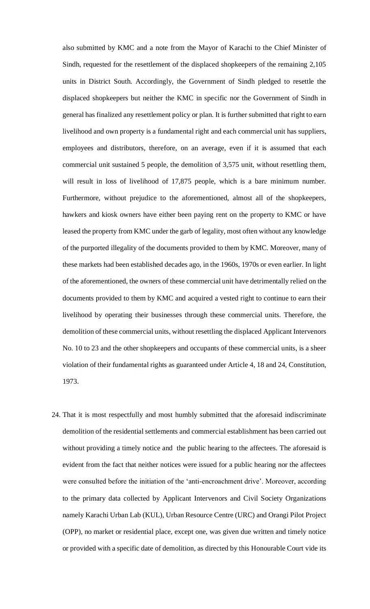also submitted by KMC and a note from the Mayor of Karachi to the Chief Minister of Sindh, requested for the resettlement of the displaced shopkeepers of the remaining 2,105 units in District South. Accordingly, the Government of Sindh pledged to resettle the displaced shopkeepers but neither the KMC in specific nor the Government of Sindh in general has finalized any resettlement policy or plan. It is further submitted that right to earn livelihood and own property is a fundamental right and each commercial unit has suppliers, employees and distributors, therefore, on an average, even if it is assumed that each commercial unit sustained 5 people, the demolition of 3,575 unit, without resettling them, will result in loss of livelihood of 17,875 people, which is a bare minimum number. Furthermore, without prejudice to the aforementioned, almost all of the shopkeepers, hawkers and kiosk owners have either been paying rent on the property to KMC or have leased the property from KMC under the garb of legality, most often without any knowledge of the purported illegality of the documents provided to them by KMC. Moreover, many of these markets had been established decades ago, in the 1960s, 1970s or even earlier. In light of the aforementioned, the owners of these commercial unit have detrimentally relied on the documents provided to them by KMC and acquired a vested right to continue to earn their livelihood by operating their businesses through these commercial units. Therefore, the demolition of these commercial units, without resettling the displaced Applicant Intervenors No. 10 to 23 and the other shopkeepers and occupants of these commercial units, is a sheer violation of their fundamental rights as guaranteed under Article 4, 18 and 24, Constitution, 1973.

24. That it is most respectfully and most humbly submitted that the aforesaid indiscriminate demolition of the residential settlements and commercial establishment has been carried out without providing a timely notice and the public hearing to the affectees. The aforesaid is evident from the fact that neither notices were issued for a public hearing nor the affectees were consulted before the initiation of the 'anti-encroachment drive'. Moreover, according to the primary data collected by Applicant Intervenors and Civil Society Organizations namely Karachi Urban Lab (KUL), Urban Resource Centre (URC) and Orangi Pilot Project (OPP), no market or residential place, except one, was given due written and timely notice or provided with a specific date of demolition, as directed by this Honourable Court vide its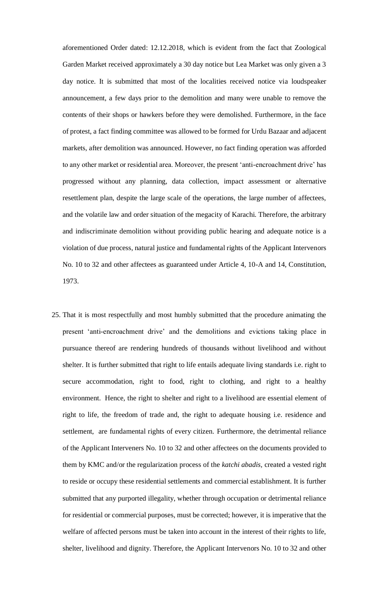aforementioned Order dated: 12.12.2018, which is evident from the fact that Zoological Garden Market received approximately a 30 day notice but Lea Market was only given a 3 day notice. It is submitted that most of the localities received notice via loudspeaker announcement, a few days prior to the demolition and many were unable to remove the contents of their shops or hawkers before they were demolished. Furthermore, in the face of protest, a fact finding committee was allowed to be formed for Urdu Bazaar and adjacent markets, after demolition was announced. However, no fact finding operation was afforded to any other market or residential area. Moreover, the present 'anti-encroachment drive' has progressed without any planning, data collection, impact assessment or alternative resettlement plan, despite the large scale of the operations, the large number of affectees, and the volatile law and order situation of the megacity of Karachi. Therefore, the arbitrary and indiscriminate demolition without providing public hearing and adequate notice is a violation of due process, natural justice and fundamental rights of the Applicant Intervenors No. 10 to 32 and other affectees as guaranteed under Article 4, 10-A and 14, Constitution, 1973.

25. That it is most respectfully and most humbly submitted that the procedure animating the present 'anti-encroachment drive' and the demolitions and evictions taking place in pursuance thereof are rendering hundreds of thousands without livelihood and without shelter. It is further submitted that right to life entails adequate living standards i.e. right to secure accommodation, right to food, right to clothing, and right to a healthy environment. Hence, the right to shelter and right to a livelihood are essential element of right to life, the freedom of trade and, the right to adequate housing i.e. residence and settlement, are fundamental rights of every citizen. Furthermore, the detrimental reliance of the Applicant Interveners No. 10 to 32 and other affectees on the documents provided to them by KMC and/or the regularization process of the *katchi abadis,* created a vested right to reside or occupy these residential settlements and commercial establishment. It is further submitted that any purported illegality, whether through occupation or detrimental reliance for residential or commercial purposes, must be corrected; however, it is imperative that the welfare of affected persons must be taken into account in the interest of their rights to life, shelter, livelihood and dignity. Therefore, the Applicant Intervenors No. 10 to 32 and other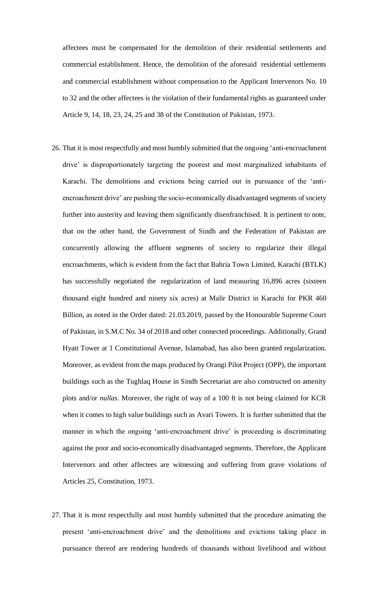affectees must be compensated for the demolition of their residential settlements and commercial establishment. Hence, the demolition of the aforesaid residential settlements and commercial establishment without compensation to the Applicant Intervenors No. 10 to 32 and the other affectees is the violation of their fundamental rights as guaranteed under Article 9, 14, 18, 23, 24, 25 and 38 of the Constitution of Pakistan, 1973.

- 26. That it is most respectfully and most humbly submitted that the ongoing 'anti-encroachment drive' is disproportionately targeting the poorest and most marginalized inhabitants of Karachi. The demolitions and evictions being carried out in pursuance of the 'antiencroachment drive' are pushing the socio-economically disadvantaged segments of society further into austerity and leaving them significantly disenfranchised. It is pertinent to note, that on the other hand, the Government of Sindh and the Federation of Pakistan are concurrently allowing the affluent segments of society to regularize their illegal encroachments, which is evident from the fact that Bahria Town Limited, Karachi (BTLK) has successfully negotiated the regularization of land measuring 16,896 acres (sixteen thousand eight hundred and ninety six acres) at Malir District in Karachi for PKR 460 Billion, as noted in the Order dated: 21.03.2019, passed by the Honourable Supreme Court of Pakistan, in S.M.C No. 34 of 2018 and other connected proceedings. Additionally, Grand Hyatt Tower at 1 Constitutional Avenue, Islamabad, has also been granted regularization. Moreover, as evident from the maps produced by Orangi Pilot Project (OPP), the important buildings such as the Tughlaq House in Sindh Secretariat are also constructed on amenity plots and/or *nullas.* Moreover, the right of way of a 100 ft is not being claimed for KCR when it comes to high value buildings such as Avari Towers. It is further submitted that the manner in which the ongoing 'anti-encroachment drive' is proceeding is discriminating against the poor and socio-economically disadvantaged segments. Therefore, the Applicant Intervenors and other affectees are witnessing and suffering from grave violations of Articles 25, Constitution, 1973.
- 27. That it is most respectfully and most humbly submitted that the procedure animating the present 'anti-encroachment drive' and the demolitions and evictions taking place in pursuance thereof are rendering hundreds of thousands without livelihood and without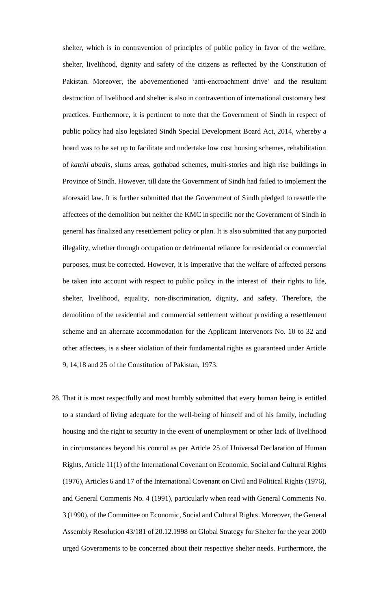shelter, which is in contravention of principles of public policy in favor of the welfare, shelter, livelihood, dignity and safety of the citizens as reflected by the Constitution of Pakistan. Moreover, the abovementioned 'anti-encroachment drive' and the resultant destruction of livelihood and shelter is also in contravention of international customary best practices. Furthermore, it is pertinent to note that the Government of Sindh in respect of public policy had also legislated Sindh Special Development Board Act, 2014, whereby a board was to be set up to facilitate and undertake low cost housing schemes, rehabilitation of *katchi abadis*, slums areas, gothabad schemes, multi-stories and high rise buildings in Province of Sindh. However, till date the Government of Sindh had failed to implement the aforesaid law. It is further submitted that the Government of Sindh pledged to resettle the affectees of the demolition but neither the KMC in specific nor the Government of Sindh in general has finalized any resettlement policy or plan. It is also submitted that any purported illegality, whether through occupation or detrimental reliance for residential or commercial purposes, must be corrected. However, it is imperative that the welfare of affected persons be taken into account with respect to public policy in the interest of their rights to life, shelter, livelihood, equality, non-discrimination, dignity, and safety. Therefore, the demolition of the residential and commercial settlement without providing a resettlement scheme and an alternate accommodation for the Applicant Intervenors No. 10 to 32 and other affectees, is a sheer violation of their fundamental rights as guaranteed under Article 9, 14,18 and 25 of the Constitution of Pakistan, 1973.

28. That it is most respectfully and most humbly submitted that every human being is entitled to a standard of living adequate for the well-being of himself and of his family, including housing and the right to security in the event of unemployment or other lack of livelihood in circumstances beyond his control as per Article 25 of Universal Declaration of Human Rights, Article 11(1) of the International Covenant on Economic, Social and Cultural Rights (1976), Articles 6 and 17 of the International Covenant on Civil and Political Rights (1976), and General Comments No. 4 (1991), particularly when read with General Comments No. 3 (1990), of the Committee on Economic, Social and Cultural Rights. Moreover, the General Assembly Resolution 43/181 of 20.12.1998 on Global Strategy for Shelter for the year 2000 urged Governments to be concerned about their respective shelter needs. Furthermore, the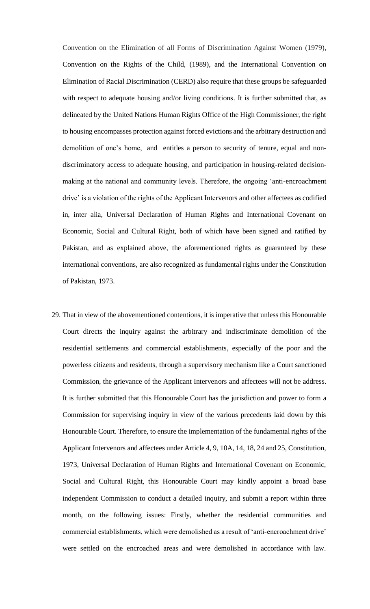Convention on the Elimination of all Forms of Discrimination Against Women (1979), Convention on the Rights of the Child, (1989), and the International Convention on Elimination of Racial Discrimination (CERD) also require that these groups be safeguarded with respect to adequate housing and/or living conditions. It is further submitted that, as delineated by the United Nations Human Rights Office of the High Commissioner, the right to housing encompasses protection against forced evictions and the arbitrary destruction and demolition of one's home, and entitles a person to security of tenure, equal and nondiscriminatory access to adequate housing, and participation in housing-related decisionmaking at the national and community levels. Therefore, the ongoing 'anti-encroachment drive' is a violation of the rights of the Applicant Intervenors and other affectees as codified in, inter alia, Universal Declaration of Human Rights and International Covenant on Economic, Social and Cultural Right, both of which have been signed and ratified by Pakistan, and as explained above, the aforementioned rights as guaranteed by these international conventions, are also recognized as fundamental rights under the Constitution of Pakistan, 1973.

29. That in view of the abovementioned contentions, it is imperative that unless this Honourable Court directs the inquiry against the arbitrary and indiscriminate demolition of the residential settlements and commercial establishments, especially of the poor and the powerless citizens and residents, through a supervisory mechanism like a Court sanctioned Commission, the grievance of the Applicant Intervenors and affectees will not be address. It is further submitted that this Honourable Court has the jurisdiction and power to form a Commission for supervising inquiry in view of the various precedents laid down by this Honourable Court. Therefore, to ensure the implementation of the fundamental rights of the Applicant Intervenors and affectees under Article 4, 9, 10A, 14, 18, 24 and 25, Constitution, 1973, Universal Declaration of Human Rights and International Covenant on Economic, Social and Cultural Right, this Honourable Court may kindly appoint a broad base independent Commission to conduct a detailed inquiry, and submit a report within three month, on the following issues: Firstly, whether the residential communities and commercial establishments, which were demolished as a result of 'anti-encroachment drive' were settled on the encroached areas and were demolished in accordance with law.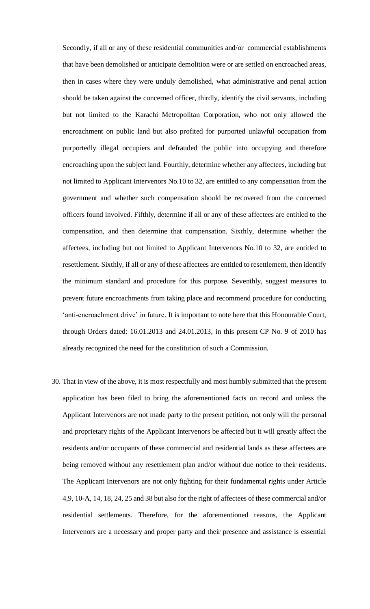Secondly, if all or any of these residential communities and/or commercial establishments that have been demolished or anticipate demolition were or are settled on encroached areas, then in cases where they were unduly demolished, what administrative and penal action should be taken against the concerned officer, thirdly, identify the civil servants, including but not limited to the Karachi Metropolitan Corporation, who not only allowed the encroachment on public land but also profited for purported unlawful occupation from purportedly illegal occupiers and defrauded the public into occupying and therefore encroaching upon the subject land. Fourthly, determine whether any affectees, including but not limited to Applicant Intervenors No.10 to 32, are entitled to any compensation from the government and whether such compensation should be recovered from the concerned officers found involved. Fifthly, determine if all or any of these affectees are entitled to the compensation, and then determine that compensation. Sixthly, determine whether the affectees, including but not limited to Applicant Intervenors No.10 to 32, are entitled to resettlement. Sixthly, if all or any of these affectees are entitled to resettlement, then identify the minimum standard and procedure for this purpose. Seventhly, suggest measures to prevent future encroachments from taking place and recommend procedure for conducting 'anti-encroachment drive' in future. It is important to note here that this Honourable Court, through Orders dated: 16.01.2013 and 24.01.2013, in this present CP No. 9 of 2010 has already recognized the need for the constitution of such a Commission.

30. That in view of the above, it is most respectfully and most humbly submitted that the present application has been filed to bring the aforementioned facts on record and unless the Applicant Intervenors are not made party to the present petition, not only will the personal and proprietary rights of the Applicant Intervenors be affected but it will greatly affect the residents and/or occupants of these commercial and residential lands as these affectees are being removed without any resettlement plan and/or without due notice to their residents. The Applicant Intervenors are not only fighting for their fundamental rights under Article 4,9, 10-A, 14, 18, 24, 25 and 38 but also for the right of affectees of these commercial and/or residential settlements. Therefore, for the aforementioned reasons, the Applicant Intervenors are a necessary and proper party and their presence and assistance is essential